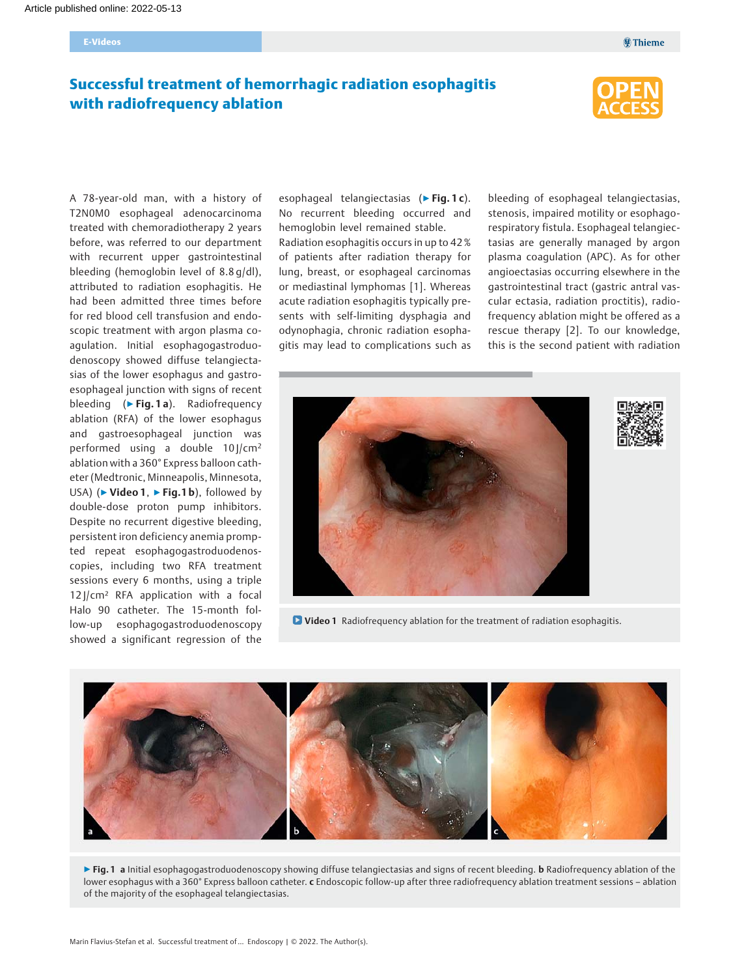## Successful treatment of hemorrhagic radiation esophagitis with radiofrequency ablation



A 78-year-old man, with a history of T2N0M0 esophageal adenocarcinoma treated with chemoradiotherapy 2 years before, was referred to our department with recurrent upper gastrointestinal bleeding (hemoglobin level of 8.8 g/dl), attributed to radiation esophagitis. He had been admitted three times before for red blood cell transfusion and endoscopic treatment with argon plasma coagulation. Initial esophagogastroduodenoscopy showed diffuse telangiectasias of the lower esophagus and gastroesophageal junction with signs of recent bleeding (▶ Fig. 1 a). Radiofrequency ablation (RFA) of the lower esophagus and gastroesophageal junction was performed using a double  $10$   $\rm{/cm^2}$ ablation with a 360° Express balloon catheter (Medtronic, Minneapolis, Minnesota, USA) ( $\triangleright$  Video 1,  $\triangleright$  Fig.1 b), followed by double-dose proton pump inhibitors. Despite no recurrent digestive bleeding, persistent iron deficiency anemia prompted repeat esophagogastroduodenoscopies, including two RFA treatment sessions every 6 months, using a triple  $12$  |/cm<sup>2</sup> RFA application with a focal Halo 90 catheter. The 15-month follow-up esophagogastroduodenoscopy showed a significant regression of the

esophageal telangiectasias ( $\triangleright$  Fig. 1c). No recurrent bleeding occurred and hemoglobin level remained stable.

Radiation esophagitis occurs in up to 42 % of patients after radiation therapy for lung, breast, or esophageal carcinomas or mediastinal lymphomas [1]. Whereas acute radiation esophagitis typically presents with self-limiting dysphagia and odynophagia, chronic radiation esophagitis may lead to complications such as

bleeding of esophageal telangiectasias, stenosis, impaired motility or esophagorespiratory fistula. Esophageal telangiectasias are generally managed by argon plasma coagulation (APC). As for other angioectasias occurring elsewhere in the gastrointestinal tract (gastric antral vascular ectasia, radiation proctitis), radiofrequency ablation might be offered as a rescue therapy [2]. To our knowledge, this is the second patient with radiation



**D** Video 1 Radiofrequency ablation for the treatment of radiation esophagitis.



▶ Fig. 1 a Initial esophagogastroduodenoscopy showing diffuse telangiectasias and signs of recent bleeding. b Radiofrequency ablation of the lower esophagus with a 360° Express balloon catheter. c Endoscopic follow-up after three radiofrequency ablation treatment sessions - ablation of the majority of the esophageal telangiectasias.